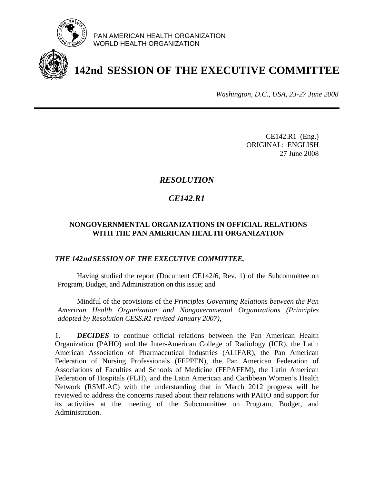

PAN AMERICAN HEALTH ORGANIZATION WORLD HEALTH ORGANIZATION

# **142nd SESSION OF THE EXECUTIVE COMMITTEE**

*Washington, D.C., USA, 23-27 June 2008*

CE142.R1 (Eng.) ORIGINAL: ENGLISH 27 June 2008

## *RESOLUTION*

# *CE142.R1*

### **NONGOVERNMENTAL ORGANIZATIONS IN OFFICIAL RELATIONS WITH THE PAN AMERICAN HEALTH ORGANIZATION**

#### *THE 142***nd** *SESSION OF THE EXECUTIVE COMMITTEE,*

 Having studied the report (Document CE142/6, Rev. 1) of the Subcommittee on Program, Budget, and Administration on this issue; and

 Mindful of the provisions of the *Principles Governing Relations between the Pan American Health Organization and Nongovernmental Organizations (Principles adopted by Resolution CESS.R1 revised January 2007),*

1. *DECIDES* to continue official relations between the Pan American Health Organization (PAHO) and the Inter-American College of Radiology (ICR), the Latin American Association of Pharmaceutical Industries (ALIFAR), the Pan American Federation of Nursing Professionals (FEPPEN), the Pan American Federation of Associations of Faculties and Schools of Medicine (FEPAFEM), the Latin American Federation of Hospitals (FLH), and the Latin American and Caribbean Women's Health Network (RSMLAC) with the understanding that in March 2012 progress will be reviewed to address the concerns raised about their relations with PAHO and support for its activities at the meeting of the Subcommittee on Program, Budget, and Administration.